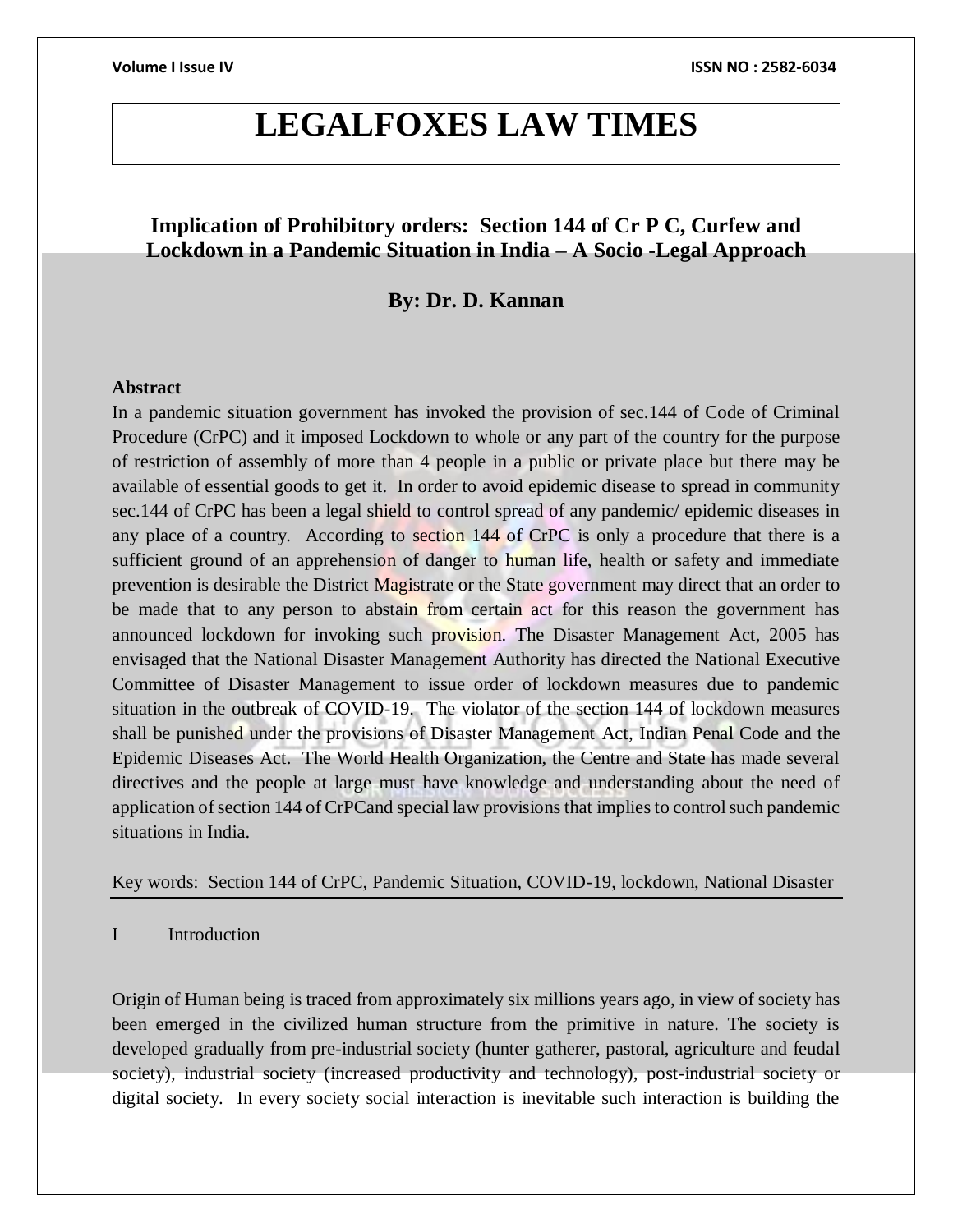# **LEGALFOXES LAW TIMES**

# **Implication of Prohibitory orders: Section 144 of Cr P C, Curfew and Lockdown in a Pandemic Situation in India – A Socio -Legal Approach**

## **By: Dr. D. Kannan**

### **Abstract**

In a pandemic situation government has invoked the provision of sec.144 of Code of Criminal Procedure (CrPC) and it imposed Lockdown to whole or any part of the country for the purpose of restriction of assembly of more than 4 people in a public or private place but there may be available of essential goods to get it. In order to avoid epidemic disease to spread in community sec.144 of CrPC has been a legal shield to control spread of any pandemic/ epidemic diseases in any place of a country. According to section 144 of CrPC is only a procedure that there is a sufficient ground of an apprehension of danger to human life, health or safety and immediate prevention is desirable the District Magistrate or the State government may direct that an order to be made that to any person to abstain from certain act for this reason the government has announced lockdown for invoking such provision. The Disaster Management Act, 2005 has envisaged that the National Disaster Management Authority has directed the National Executive Committee of Disaster Management to issue order of lockdown measures due to pandemic situation in the outbreak of COVID-19. The violator of the section 144 of lockdown measures shall be punished under the provisions of Disaster Management Act, Indian Penal Code and the Epidemic Diseases Act. The World Health Organization, the Centre and State has made several directives and the people at large must have knowledge and understanding about the need of application of section 144 of CrPCand special law provisions that implies to control such pandemic situations in India.

Key words: Section 144 of CrPC, Pandemic Situation, COVID-19, lockdown, National Disaster

I Introduction

Origin of Human being is traced from approximately six millions years ago, in view of society has been emerged in the civilized human structure from the primitive in nature. The society is developed gradually from pre-industrial society (hunter gatherer, pastoral, agriculture and feudal society), industrial society (increased productivity and technology), post-industrial society or digital society. In every society social interaction is inevitable such interaction is building the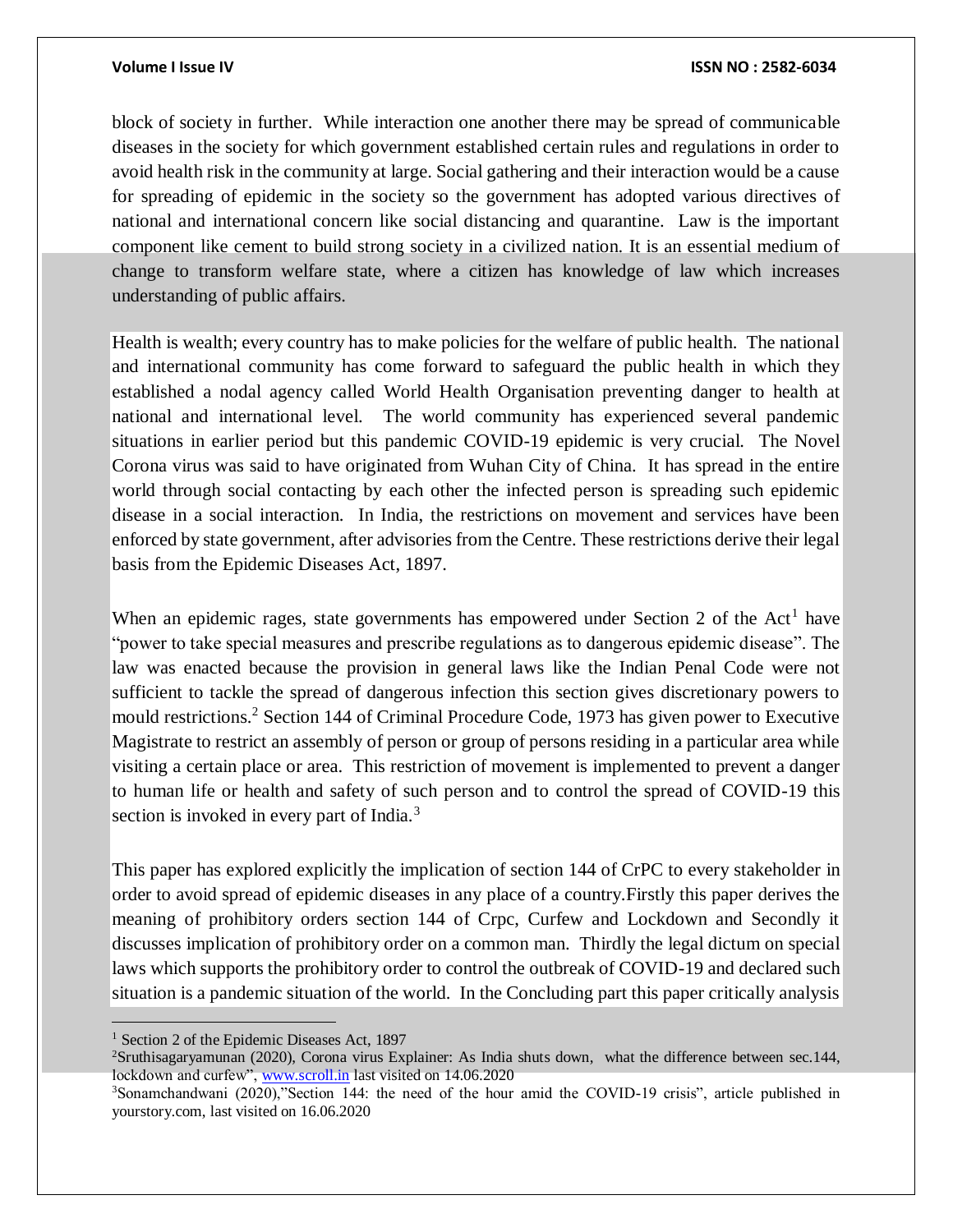block of society in further. While interaction one another there may be spread of communicable diseases in the society for which government established certain rules and regulations in order to avoid health risk in the community at large. Social gathering and their interaction would be a cause for spreading of epidemic in the society so the government has adopted various directives of national and international concern like social distancing and quarantine. Law is the important component like cement to build strong society in a civilized nation. It is an essential medium of change to transform welfare state, where a citizen has knowledge of law which increases understanding of public affairs.

Health is wealth; every country has to make policies for the welfare of public health. The national and international community has come forward to safeguard the public health in which they established a nodal agency called World Health Organisation preventing danger to health at national and international level. The world community has experienced several pandemic situations in earlier period but this pandemic COVID-19 epidemic is very crucial. The Novel Corona virus was said to have originated from Wuhan City of China. It has spread in the entire world through social contacting by each other the infected person is spreading such epidemic disease in a social interaction. In India, the restrictions on movement and services have been enforced by state government, after advisories from the Centre. These restrictions derive their legal basis from the Epidemic Diseases Act, 1897.

When an epidemic rages, state governments has empowered under Section 2 of the Act<sup>1</sup> have "power to take special measures and prescribe regulations as to dangerous epidemic disease". The law was enacted because the provision in general laws like the Indian Penal Code were not sufficient to tackle the spread of dangerous infection this section gives discretionary powers to mould restrictions.<sup>2</sup> Section 144 of Criminal Procedure Code, 1973 has given power to Executive Magistrate to restrict an assembly of person or group of persons residing in a particular area while visiting a certain place or area. This restriction of movement is implemented to prevent a danger to human life or health and safety of such person and to control the spread of COVID-19 this section is invoked in every part of India.<sup>3</sup>

This paper has explored explicitly the implication of section 144 of CrPC to every stakeholder in order to avoid spread of epidemic diseases in any place of a country.Firstly this paper derives the meaning of prohibitory orders section 144 of Crpc, Curfew and Lockdown and Secondly it discusses implication of prohibitory order on a common man. Thirdly the legal dictum on special laws which supports the prohibitory order to control the outbreak of COVID-19 and declared such situation is a pandemic situation of the world. In the Concluding part this paper critically analysis

 $\overline{a}$ 

<sup>&</sup>lt;sup>1</sup> Section 2 of the Epidemic Diseases Act, 1897

<sup>2</sup>Sruthisagaryamunan (2020), Corona virus Explainer: As India shuts down, what the difference between sec.144, lockdown and curfew", [www.scroll.in](http://www.scroll.in/) last visited on 14.06.2020

<sup>3</sup>Sonamchandwani (2020),"Section 144: the need of the hour amid the COVID-19 crisis", article published in yourstory.com, last visited on 16.06.2020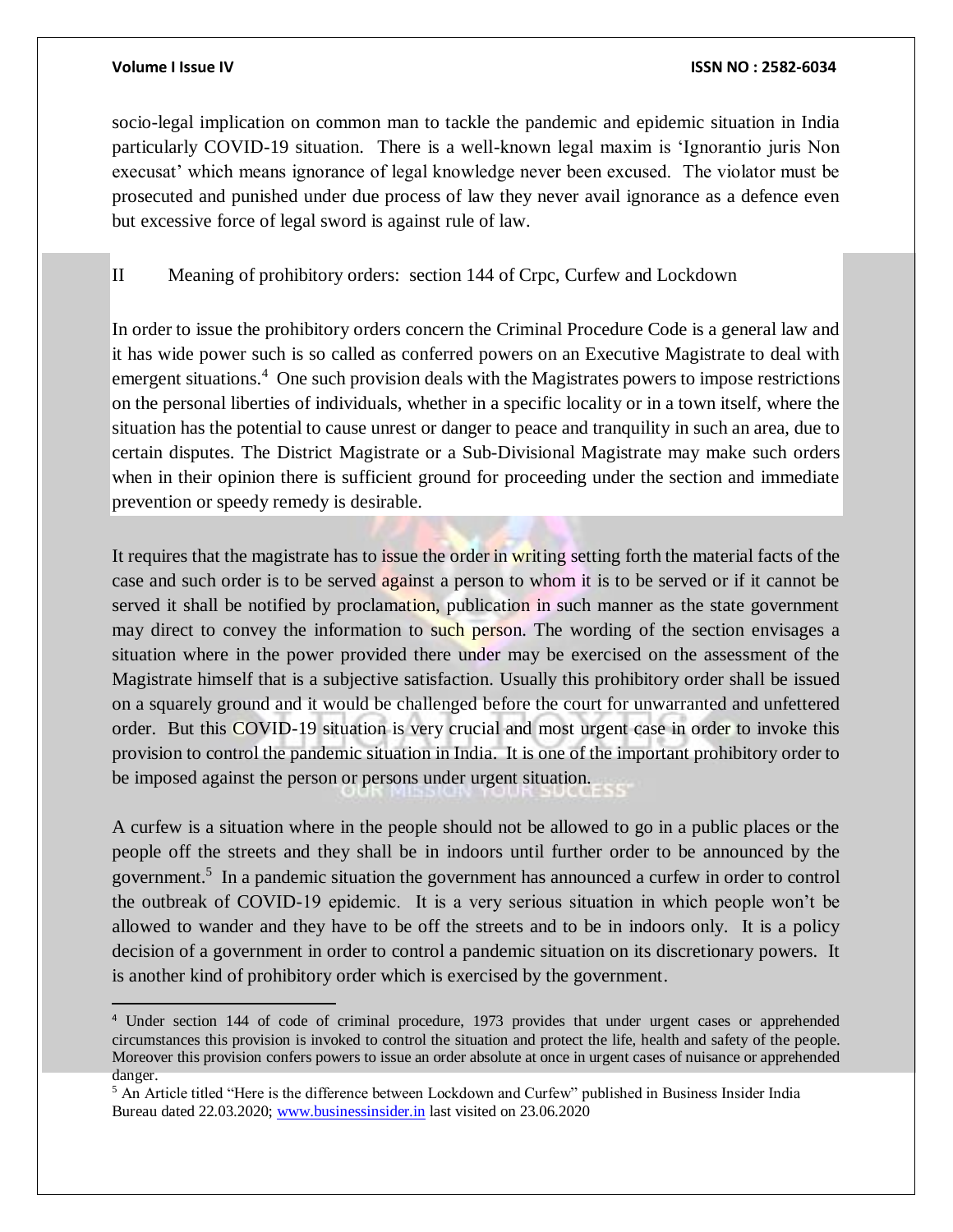$\overline{a}$ 

### **Volume I Issue IV ISSN NO : 2582-6034**

socio-legal implication on common man to tackle the pandemic and epidemic situation in India particularly COVID-19 situation. There is a well-known legal maxim is 'Ignorantio juris Non execusat' which means ignorance of legal knowledge never been excused. The violator must be prosecuted and punished under due process of law they never avail ignorance as a defence even but excessive force of legal sword is against rule of law.

II Meaning of prohibitory orders: section 144 of Crpc, Curfew and Lockdown

In order to issue the prohibitory orders concern the Criminal Procedure Code is a general law and it has wide power such is so called as conferred powers on an Executive Magistrate to deal with emergent situations.<sup>4</sup> One such provision deals with the Magistrates powers to impose restrictions on the personal liberties of individuals, whether in a specific locality or in a town itself, where the situation has the potential to cause unrest or danger to peace and tranquility in such an area, due to certain disputes. The District Magistrate or a Sub-Divisional Magistrate may make such orders when in their opinion there is sufficient ground for proceeding under the section and immediate prevention or speedy remedy is desirable.

It requires that the magistrate has to issue the order in writing setting forth the material facts of the case and such order is to be served against a person to whom it is to be served or if it cannot be served it shall be notified by proclamation, publication in such manner as the state government may direct to convey the information to such person. The wording of the section envisages a situation where in the power provided there under may be exercised on the assessment of the Magistrate himself that is a subjective satisfaction. Usually this prohibitory order shall be issued on a squarely ground and it would be challenged before the court for unwarranted and unfettered order. But this COVID-19 situation is very crucial and most urgent case in order to invoke this provision to control the pandemic situation in India. It is one of the important prohibitory order to be imposed against the person or persons under urgent situation.

A curfew is a situation where in the people should not be allowed to go in a public places or the people off the streets and they shall be in indoors until further order to be announced by the government.<sup>5</sup> In a pandemic situation the government has announced a curfew in order to control the outbreak of COVID-19 epidemic. It is a very serious situation in which people won't be allowed to wander and they have to be off the streets and to be in indoors only. It is a policy decision of a government in order to control a pandemic situation on its discretionary powers. It is another kind of prohibitory order which is exercised by the government.

<sup>4</sup> Under section 144 of code of criminal procedure, 1973 provides that under urgent cases or apprehended circumstances this provision is invoked to control the situation and protect the life, health and safety of the people. Moreover this provision confers powers to issue an order absolute at once in urgent cases of nuisance or apprehended danger.

<sup>5</sup> An Article titled "Here is the difference between Lockdown and Curfew" published in Business Insider India Bureau dated 22.03.2020; [www.businessinsider.in](http://www.businessinsider.in/) last visited on 23.06.2020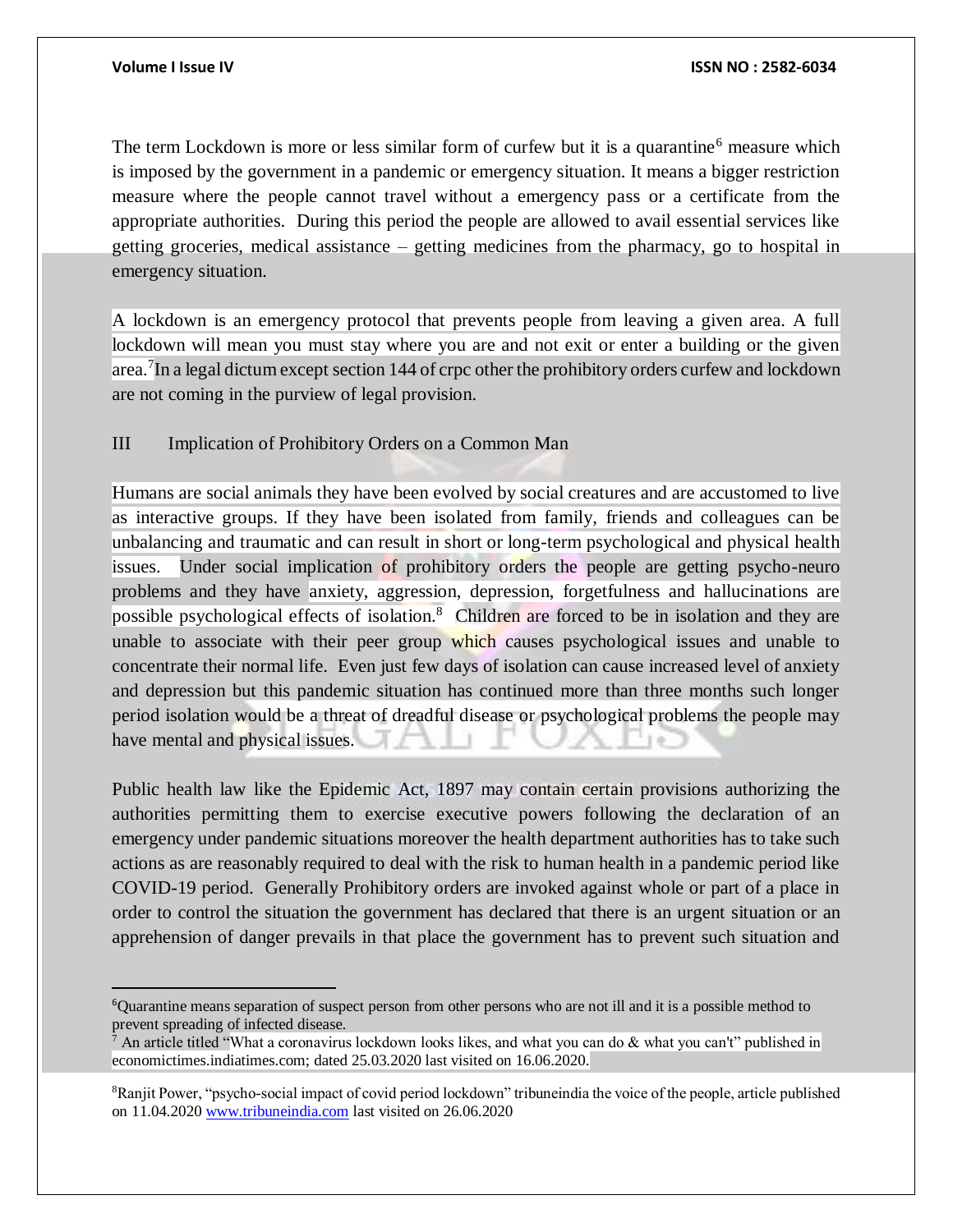$\overline{a}$ 

The term Lockdown is more or less similar form of curfew but it is a quarantine<sup>6</sup> measure which is imposed by the government in a pandemic or emergency situation. It means a bigger restriction measure where the people cannot travel without a emergency pass or a certificate from the appropriate authorities. During this period the people are allowed to avail essential services like getting groceries, medical assistance – getting medicines from the pharmacy, go to hospital in emergency situation.

A lockdown is an emergency protocol that prevents people from leaving a given area. A full lockdown will mean you must stay where you are and not exit or enter a building or the given area.<sup>7</sup>In a legal dictum except section 144 of crpc other the prohibitory orders curfew and lockdown are not coming in the purview of legal provision.

### III Implication of Prohibitory Orders on a Common Man

Humans are social animals they have been evolved by social creatures and are accustomed to live as interactive groups. If they have been isolated from family, friends and colleagues can be unbalancing and traumatic and can result in short or long-term psychological and physical health issues. Under social implication of prohibitory orders the people are getting psycho-neuro problems and they have anxiety, aggression, depression, forgetfulness and hallucinations are possible psychological effects of isolation.<sup>8</sup> Children are forced to be in isolation and they are unable to associate with their peer group which causes psychological issues and unable to concentrate their normal life. Even just few days of isolation can cause increased level of anxiety and depression but this pandemic situation has continued more than three months such longer period isolation would be a threat of dreadful disease or psychological problems the people may have mental and physical issues.

Public health law like the Epidemic Act, 1897 may contain certain provisions authorizing the authorities permitting them to exercise executive powers following the declaration of an emergency under pandemic situations moreover the health department authorities has to take such actions as are reasonably required to deal with the risk to human health in a pandemic period like COVID-19 period. Generally Prohibitory orders are invoked against whole or part of a place in order to control the situation the government has declared that there is an urgent situation or an apprehension of danger prevails in that place the government has to prevent such situation and

<sup>6</sup>Quarantine means separation of suspect person from other persons who are not ill and it is a possible method to prevent spreading of infected disease.

 $^7$  An article titled "What a coronavirus lockdown looks likes, and what you can do & what you can't" published in economictimes.indiatimes.com; dated 25.03.2020 last visited on 16.06.2020.

<sup>8</sup>Ranjit Power, "psycho-social impact of covid period lockdown" tribuneindia the voice of the people, article published on 11.04.2020 [www.tribuneindia.com](http://www.tribuneindia.com/) last visited on 26.06.2020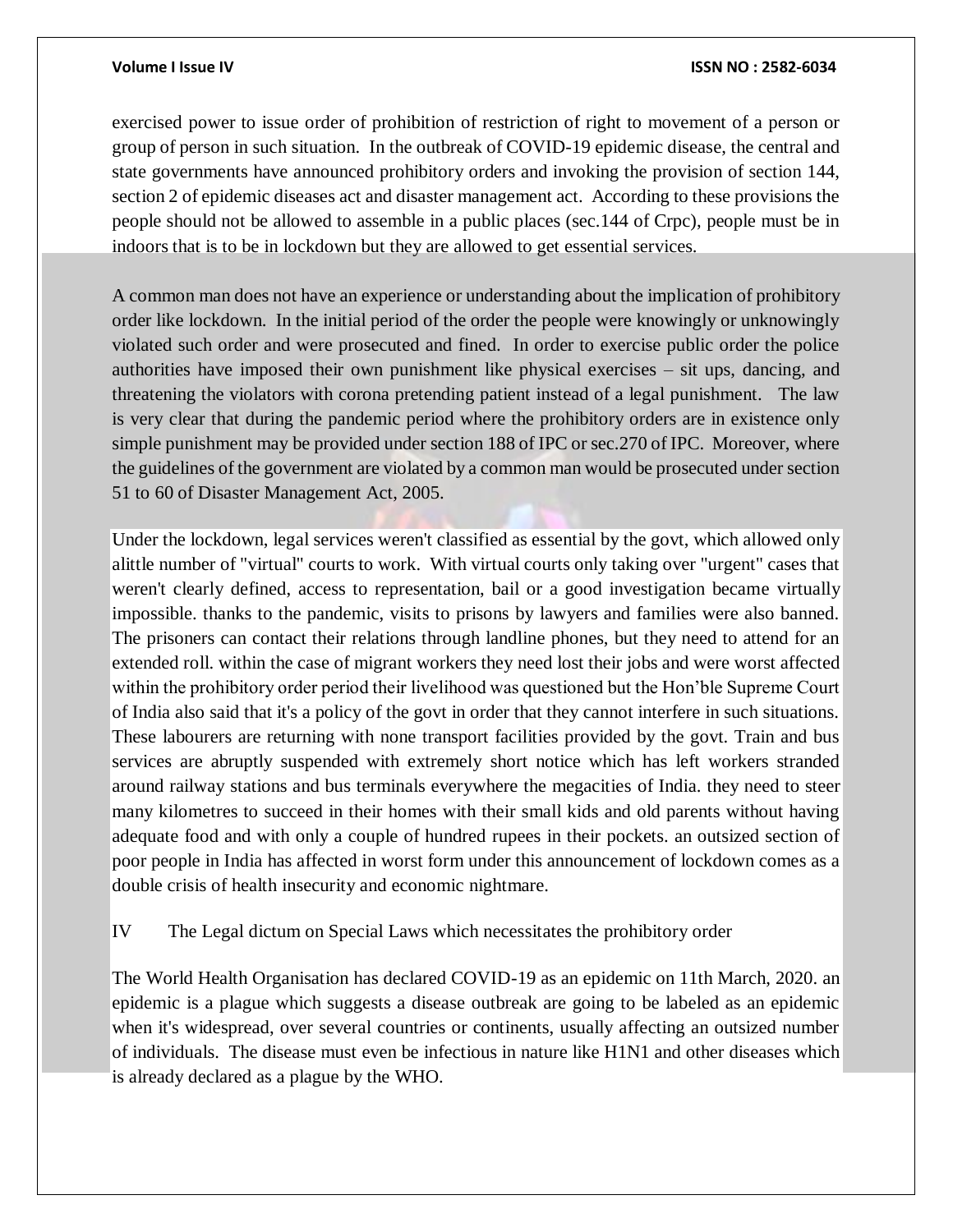### **Volume I Issue IV ISSN NO : 2582-6034**

exercised power to issue order of prohibition of restriction of right to movement of a person or group of person in such situation. In the outbreak of COVID-19 epidemic disease, the central and state governments have announced prohibitory orders and invoking the provision of section 144, section 2 of epidemic diseases act and disaster management act. According to these provisions the people should not be allowed to assemble in a public places (sec.144 of Crpc), people must be in indoors that is to be in lockdown but they are allowed to get essential services.

A common man does not have an experience or understanding about the implication of prohibitory order like lockdown. In the initial period of the order the people were knowingly or unknowingly violated such order and were prosecuted and fined. In order to exercise public order the police authorities have imposed their own punishment like physical exercises – sit ups, dancing, and threatening the violators with corona pretending patient instead of a legal punishment. The law is very clear that during the pandemic period where the prohibitory orders are in existence only simple punishment may be provided under section 188 of IPC or sec.270 of IPC. Moreover, where the guidelines of the government are violated by a common man would be prosecuted under section 51 to 60 of Disaster Management Act, 2005.

Under the lockdown, legal services weren't classified as essential by the govt, which allowed only alittle number of "virtual" courts to work. With virtual courts only taking over "urgent" cases that weren't clearly defined, access to representation, bail or a good investigation became virtually impossible. thanks to the pandemic, visits to prisons by lawyers and families were also banned. The prisoners can contact their relations through landline phones, but they need to attend for an extended roll. within the case of migrant workers they need lost their jobs and were worst affected within the prohibitory order period their livelihood was questioned but the Hon'ble Supreme Court of India also said that it's a policy of the govt in order that they cannot interfere in such situations. These labourers are returning with none transport facilities provided by the govt. Train and bus services are abruptly suspended with extremely short notice which has left workers stranded around railway stations and bus terminals everywhere the megacities of India. they need to steer many kilometres to succeed in their homes with their small kids and old parents without having adequate food and with only a couple of hundred rupees in their pockets. an outsized section of poor people in India has affected in worst form under this announcement of lockdown comes as a double crisis of health insecurity and economic nightmare.

### IV The Legal dictum on Special Laws which necessitates the prohibitory order

The World Health Organisation has declared COVID-19 as an epidemic on 11th March, 2020. an epidemic is a plague which suggests a disease outbreak are going to be labeled as an epidemic when it's widespread, over several countries or continents, usually affecting an outsized number of individuals. The disease must even be infectious in nature like H1N1 and other diseases which is already declared as a plague by the WHO.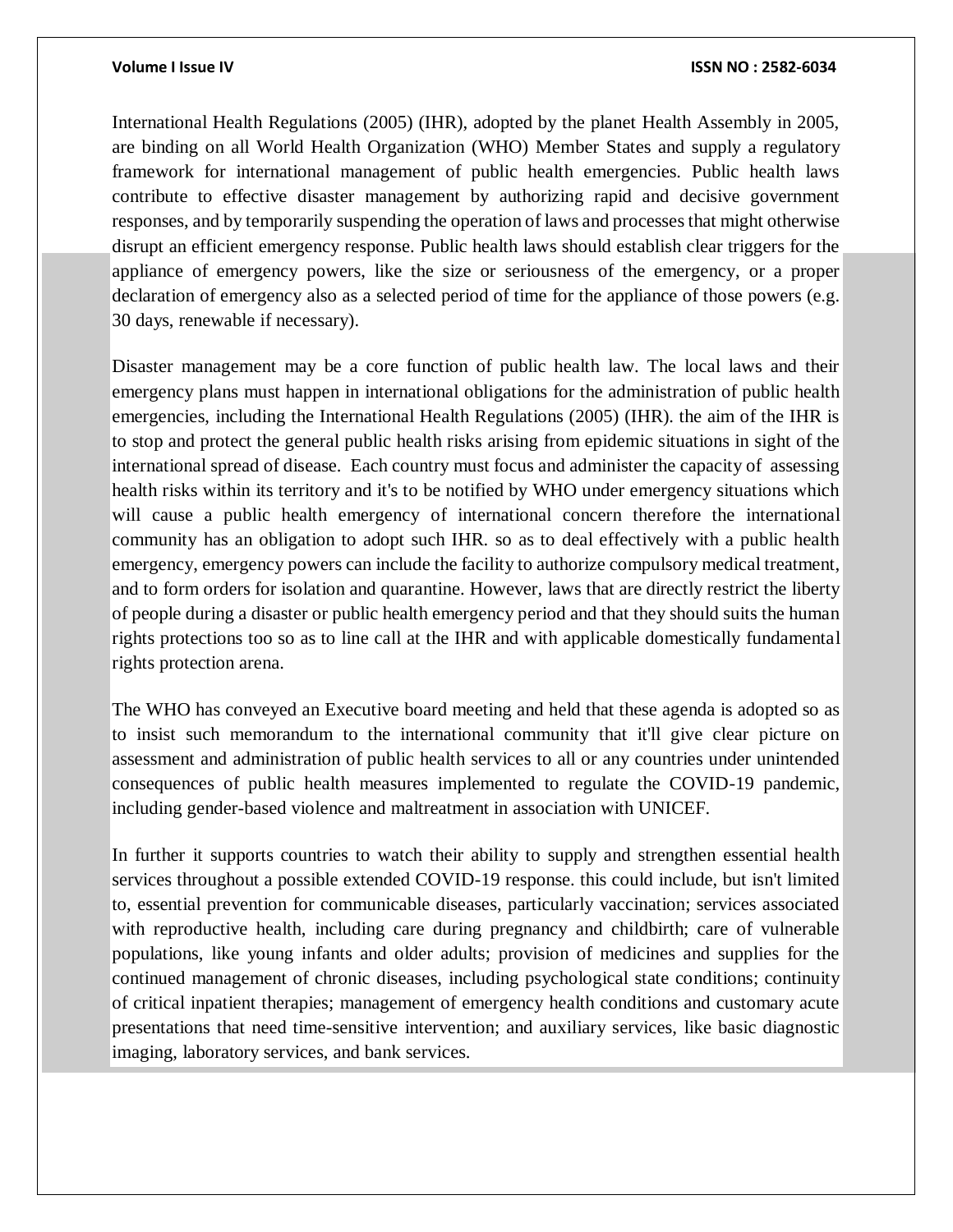International Health Regulations (2005) (IHR), adopted by the planet Health Assembly in 2005, are binding on all World Health Organization (WHO) Member States and supply a regulatory framework for international management of public health emergencies. Public health laws contribute to effective disaster management by authorizing rapid and decisive government responses, and by temporarily suspending the operation of laws and processes that might otherwise disrupt an efficient emergency response. Public health laws should establish clear triggers for the appliance of emergency powers, like the size or seriousness of the emergency, or a proper declaration of emergency also as a selected period of time for the appliance of those powers (e.g. 30 days, renewable if necessary).

Disaster management may be a core function of public health law. The local laws and their emergency plans must happen in international obligations for the administration of public health emergencies, including the International Health Regulations (2005) (IHR). the aim of the IHR is to stop and protect the general public health risks arising from epidemic situations in sight of the international spread of disease. Each country must focus and administer the capacity of assessing health risks within its territory and it's to be notified by WHO under emergency situations which will cause a public health emergency of international concern therefore the international community has an obligation to adopt such IHR. so as to deal effectively with a public health emergency, emergency powers can include the facility to authorize compulsory medical treatment, and to form orders for isolation and quarantine. However, laws that are directly restrict the liberty of people during a disaster or public health emergency period and that they should suits the human rights protections too so as to line call at the IHR and with applicable domestically fundamental rights protection arena.

The WHO has conveyed an Executive board meeting and held that these agenda is adopted so as to insist such memorandum to the international community that it'll give clear picture on assessment and administration of public health services to all or any countries under unintended consequences of public health measures implemented to regulate the COVID-19 pandemic, including gender-based violence and maltreatment in association with UNICEF.

In further it supports countries to watch their ability to supply and strengthen essential health services throughout a possible extended COVID-19 response. this could include, but isn't limited to, essential prevention for communicable diseases, particularly vaccination; services associated with reproductive health, including care during pregnancy and childbirth; care of vulnerable populations, like young infants and older adults; provision of medicines and supplies for the continued management of chronic diseases, including psychological state conditions; continuity of critical inpatient therapies; management of emergency health conditions and customary acute presentations that need time-sensitive intervention; and auxiliary services, like basic diagnostic imaging, laboratory services, and bank services.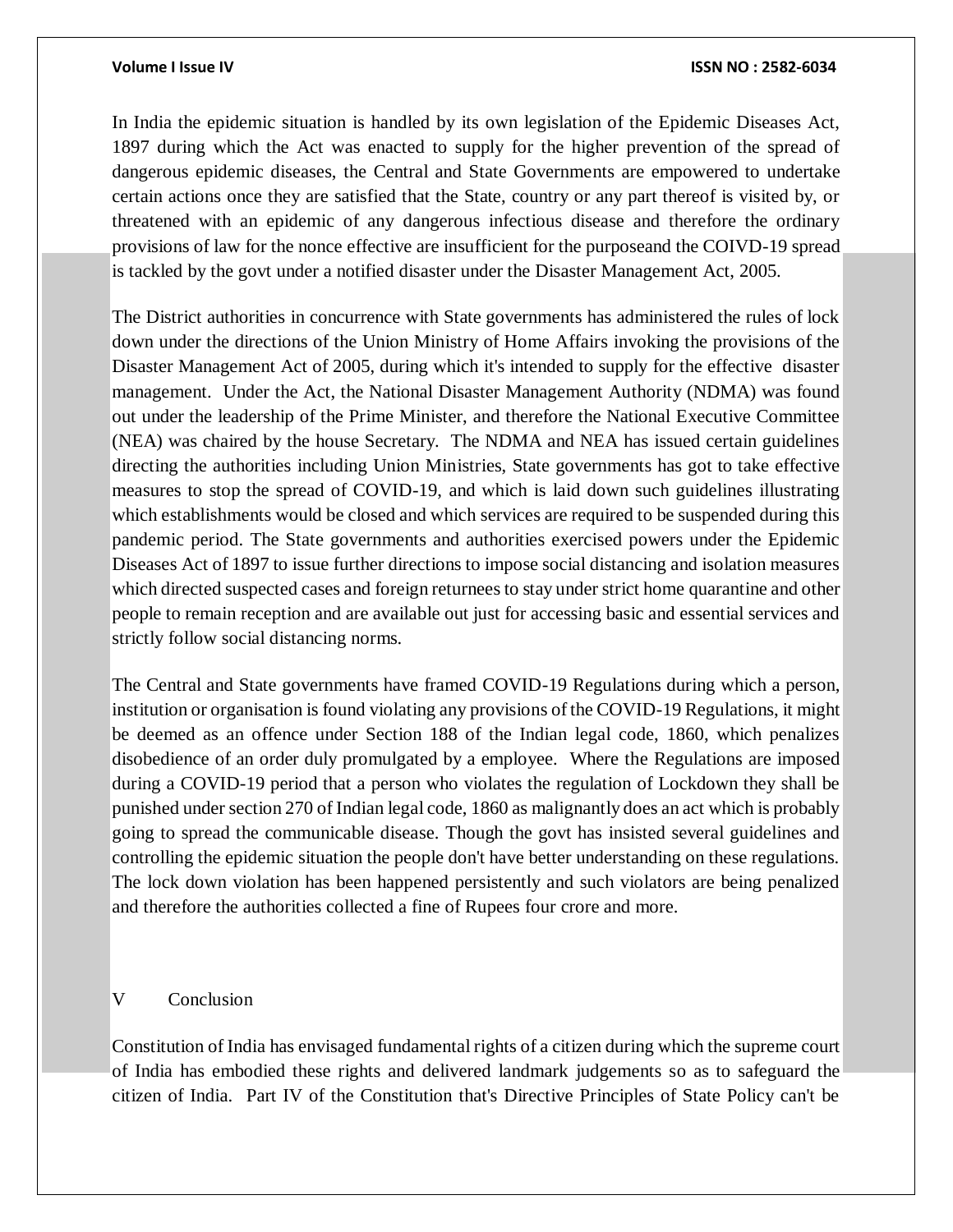In India the epidemic situation is handled by its own legislation of the Epidemic Diseases Act, 1897 during which the Act was enacted to supply for the higher prevention of the spread of dangerous epidemic diseases, the Central and State Governments are empowered to undertake certain actions once they are satisfied that the State, country or any part thereof is visited by, or threatened with an epidemic of any dangerous infectious disease and therefore the ordinary provisions of law for the nonce effective are insufficient for the purposeand the COIVD-19 spread is tackled by the govt under a notified disaster under the Disaster Management Act, 2005.

The District authorities in concurrence with State governments has administered the rules of lock down under the directions of the Union Ministry of Home Affairs invoking the provisions of the Disaster Management Act of 2005, during which it's intended to supply for the effective disaster management. Under the Act, the National Disaster Management Authority (NDMA) was found out under the leadership of the Prime Minister, and therefore the National Executive Committee (NEA) was chaired by the house Secretary. The NDMA and NEA has issued certain guidelines directing the authorities including Union Ministries, State governments has got to take effective measures to stop the spread of COVID-19, and which is laid down such guidelines illustrating which establishments would be closed and which services are required to be suspended during this pandemic period. The State governments and authorities exercised powers under the Epidemic Diseases Act of 1897 to issue further directions to impose social distancing and isolation measures which directed suspected cases and foreign returnees to stay under strict home quarantine and other people to remain reception and are available out just for accessing basic and essential services and strictly follow social distancing norms.

The Central and State governments have framed COVID-19 Regulations during which a person, institution or organisation is found violating any provisions of the COVID-19 Regulations, it might be deemed as an offence under Section 188 of the Indian legal code, 1860, which penalizes disobedience of an order duly promulgated by a employee. Where the Regulations are imposed during a COVID-19 period that a person who violates the regulation of Lockdown they shall be punished under section 270 of Indian legal code, 1860 as malignantly does an act which is probably going to spread the communicable disease. Though the govt has insisted several guidelines and controlling the epidemic situation the people don't have better understanding on these regulations. The lock down violation has been happened persistently and such violators are being penalized and therefore the authorities collected a fine of Rupees four crore and more.

### V Conclusion

Constitution of India has envisaged fundamental rights of a citizen during which the supreme court of India has embodied these rights and delivered landmark judgements so as to safeguard the citizen of India. Part IV of the Constitution that's Directive Principles of State Policy can't be